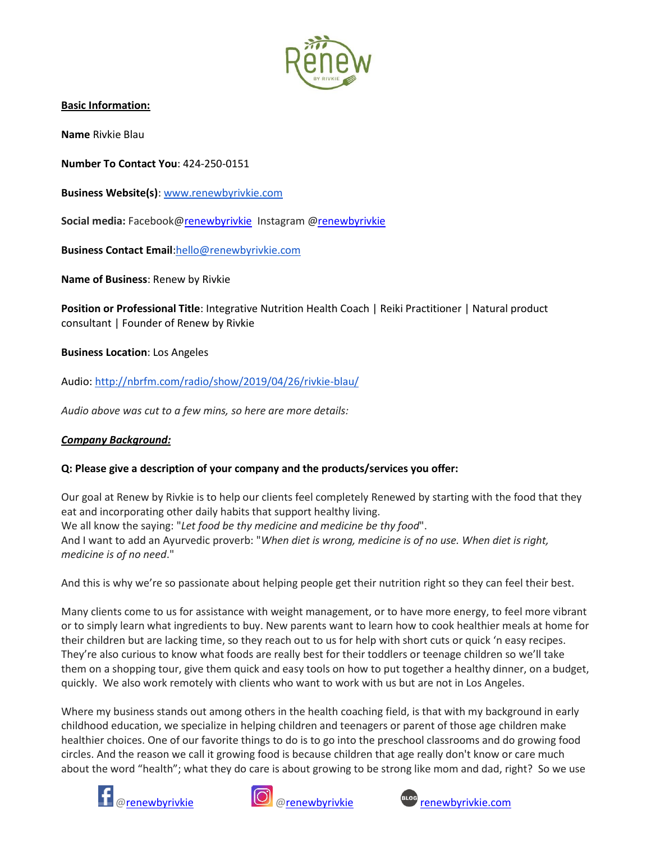

**Basic Information:**

**Name** Rivkie Blau

**Number To Contact You**: 424-250-0151

**Business Website(s)**: [www.renewbyrivkie.com](http://www.renewbyrivkie.com/)

**Social media:** Facebook[@renewbyrivkie](https://www.facebook.com/healthcoachrivkie/) Instagram [@renewbyrivkie](https://www.instagram.com/renewbyrivkie/)

**Business Contact Email**[:hello@renewbyrivkie.com](mailto:hello@renewbyrivkie.com)

**Name of Business**: Renew by Rivkie

**Position or Professional Title**: Integrative Nutrition Health Coach | Reiki Practitioner | Natural product consultant | Founder of Renew by Rivkie

**Business Location**: Los Angeles

Audio: <http://nbrfm.com/radio/show/2019/04/26/rivkie-blau/>

*Audio above was cut to a few mins, so here are more details:*

### *Company Background:*

### **Q: Please give a description of your company and the products/services you offer:**

Our goal at Renew by Rivkie is to help our clients feel completely Renewed by starting with the food that they eat and incorporating other daily habits that support healthy living. We all know the saying: "*Let food be thy medicine and medicine be thy food*". And I want to add an Ayurvedic proverb: "*When diet is wrong, medicine is of no use. When diet is right, medicine is of no need*."

And this is why we're so passionate about helping people get their nutrition right so they can feel their best.

Many clients come to us for assistance with weight management, or to have more energy, to feel more vibrant or to simply learn what ingredients to buy. New parents want to learn how to cook healthier meals at home for their children but are lacking time, so they reach out to us for help with short cuts or quick 'n easy recipes. They're also curious to know what foods are really best for their toddlers or teenage children so we'll take them on a shopping tour, give them quick and easy tools on how to put together a healthy dinner, on a budget, quickly. We also work remotely with clients who want to work with us but are not in Los Angeles.

Where my business stands out among others in the health coaching field, is that with my background in early childhood education, we specialize in helping children and teenagers or parent of those age children make healthier choices. One of our favorite things to do is to go into the preschool classrooms and do growing food circles. And the reason we call it growing food is because children that age really don't know or care much about the word "health"; what they do care is about growing to be strong like mom and dad, right? So we use





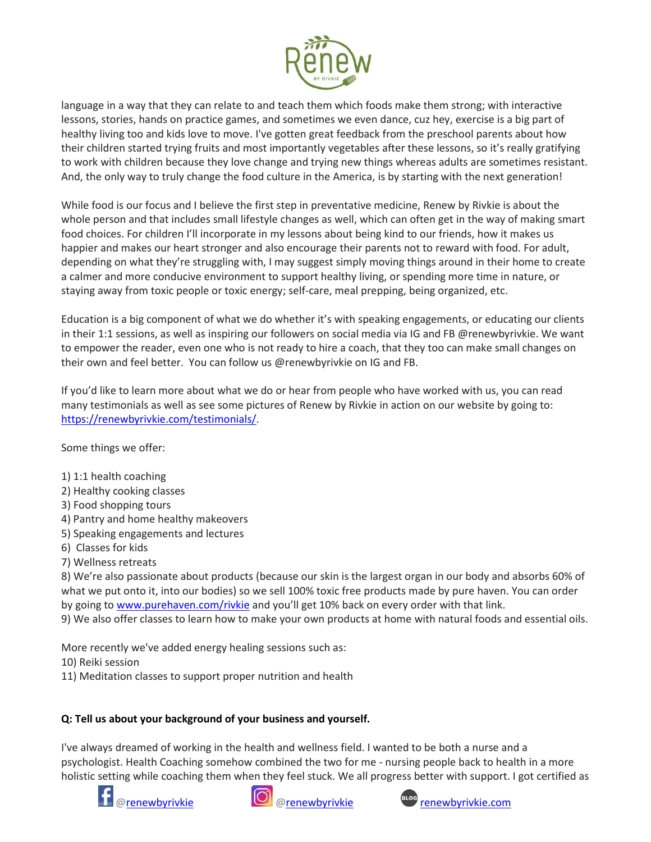

language in a way that they can relate to and teach them which foods make them strong; with interactive lessons, stories, hands on practice games, and sometimes we even dance, cuz hey, exercise is a big part of healthy living too and kids love to move. I've gotten great feedback from the preschool parents about how their children started trying fruits and most importantly vegetables after these lessons, so it's really gratifying to work with children because they love change and trying new things whereas adults are sometimes resistant. And, the only way to truly change the food culture in the America, is by starting with the next generation!

While food is our focus and I believe the first step in preventative medicine, Renew by Rivkie is about the whole person and that includes small lifestyle changes as well, which can often get in the way of making smart food choices. For children I'll incorporate in my lessons about being kind to our friends, how it makes us happier and makes our heart stronger and also encourage their parents not to reward with food. For adult, depending on what they're struggling with, I may suggest simply moving things around in their home to create a calmer and more conducive environment to support healthy living, or spending more time in nature, or staying away from toxic people or toxic energy; self-care, meal prepping, being organized, etc.

Education is a big component of what we do whether it's with speaking engagements, or educating our clients in their 1:1 sessions, as well as inspiring our followers on social media via IG and FB @renewbyrivkie. We want to empower the reader, even one who is not ready to hire a coach, that they too can make small changes on their own and feel better. You can follow us @renewbyrivkie on IG and FB.

If you'd like to learn more about what we do or hear from people who have worked with us, you can read many testimonials as well as see some pictures of Renew by Rivkie in action on our website by going to: [https://renewbyrivkie.com/testimonials/.](https://renewbyrivkie.com/testimonials/)

Some things we offer:

- 1) 1:1 health coaching
- 2) Healthy cooking classes
- 3) Food shopping tours
- 4) Pantry and home healthy makeovers
- 5) Speaking engagements and lectures
- 6) Classes for kids
- 7) Wellness retreats

8) We're also passionate about products (because our skin is the largest organ in our body and absorbs 60% of what we put onto it, into our bodies) so we sell 100% toxic free products made by pure haven. You can order by going to [www.purehaven.com/rivkie](http://www.purehaven.com/rivkie) and you'll get 10% back on every order with that link.

9) We also offer classes to learn how to make your own products at home with natural foods and essential oils.

More recently we've added energy healing sessions such as:

10) Reiki session

11) Meditation classes to support proper nutrition and health

# **Q: Tell us about your background of your business and yourself.**

I've always dreamed of working in the health and wellness field. I wanted to be both a nurse and a psychologist. Health Coaching somehow combined the two for me - nursing people back to health in a more holistic setting while coaching them when they feel stuck. We all progress better with support. I got certified as